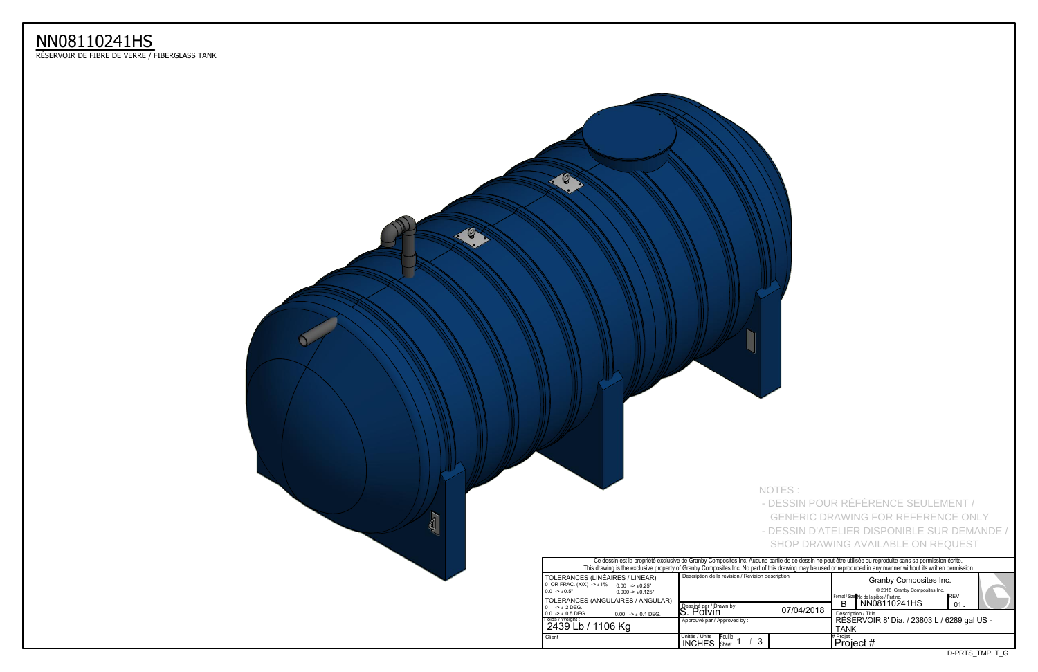

Format / Size No de la pièce / Part no.<br>  $\left[\begin{array}{c|c} \text{REV} & \text{B} \\ \text{B} & \text{NN08110241HS} \end{array}\right]^{REV}$ 01 ReSERVOIR 8' Dia. / 23803 L / 6289 gal US - <u>TANK</u> 07/04/2018 Ce dessin est la propriété exclusive de Granby Composites Inc. Aucune partie de ce dessin ne peut être utilisée ou reproduite sans sa permission écrite. This drawing is the exclusive property of Granby Composites Inc. No part of this drawing may be used or reproduced in any manner without its written permission. **.** Description / Title Granby Composites Inc. 2018 Granby Composites Inc. #Projet<br>| Project # GENERIC DRAWING FOR REFERENCE ONLY - DESSIN D'ATELIER DISPONIBLE SUR DEMANDE / SHOP DRAWING AVAILABLE ON REQUEST

## NN08110241HS

ReSERVOIR DE FIBRE DE VERRE / FIBERGLASS TANK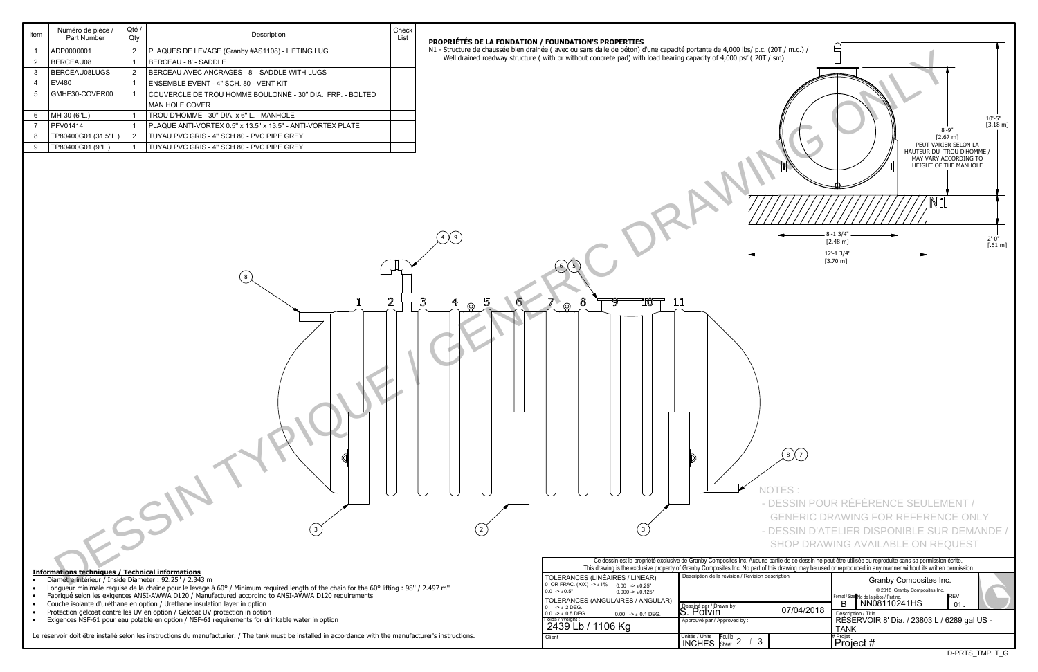| Ce dessin est la propriété exclusive de Granby Composites Inc. Aucune partie de ce dessin ne peut être utilisée ou reproduite sans sa permission écrite.<br>This drawing is the exclusive property of Granby Composites Inc. No part of this drawing may be used or reproduced in any manner without its written permission. |                                                                            |            |                                                                                                                   |  |  |  |  |  |  |  |  |  |  |  |
|------------------------------------------------------------------------------------------------------------------------------------------------------------------------------------------------------------------------------------------------------------------------------------------------------------------------------|----------------------------------------------------------------------------|------------|-------------------------------------------------------------------------------------------------------------------|--|--|--|--|--|--|--|--|--|--|--|
| TOLERANCES (LINÉAIRES / LINEAR)<br>0 OR FRAC. $(X/X)$ -> $\pm 1\%$ 0.00 -> $\pm 0.25$ "<br>$0.0 \rightarrow +0.5"$<br>$0.000 - 1.000 - 1.000$                                                                                                                                                                                | Description de la révision / Revision description                          |            | Granby Composites Inc.<br>© 2018 Granby Composites Inc.<br><b>IREV</b><br>Format / Size No de la pièce / Part no. |  |  |  |  |  |  |  |  |  |  |  |
| TOLERANCES (ANGULAIRES / ANGULAR)<br>$0 \rightarrow +2$ DEG.<br>$0.0 \rightarrow \pm 0.5$ DEG.<br>$0.00$ -> $\pm$ 0.1 DEG.                                                                                                                                                                                                   | Dessiné par / Drawn by<br>S. Potvin                                        | 07/04/2018 | NN08110241HS<br>в<br>01.<br>Description / Title                                                                   |  |  |  |  |  |  |  |  |  |  |  |
| Poids / Weight : _<br>2439 Lb / 1106 Kg                                                                                                                                                                                                                                                                                      | Approuvé par / Approved by:                                                |            | RÉSERVOIR 8' Dia. / 23803 L / 6289 gal US -<br><b>TANK</b>                                                        |  |  |  |  |  |  |  |  |  |  |  |
| Client                                                                                                                                                                                                                                                                                                                       | Unités / Units<br>Unités / Units Feuille<br>INCHES Sheet 2<br>$\mathbf{3}$ |            | # Projet<br>Project #                                                                                             |  |  |  |  |  |  |  |  |  |  |  |
|                                                                                                                                                                                                                                                                                                                              |                                                                            |            | D-PRTS TMPLT G                                                                                                    |  |  |  |  |  |  |  |  |  |  |  |

| c. (20T / m.c.) /<br>DT / sm) | $\blacksquare$                                                         |    | 10'-5"<br>[3.18 m]<br>$8 - 9"$<br>$[2.67 \, m]$<br>PEUT VARIER SELON LA<br>HAUTEUR DU TROU D'HOMME /<br>MAY VARY ACCORDING TO<br>HEIGHT OF THE MANHOLE |
|-------------------------------|------------------------------------------------------------------------|----|--------------------------------------------------------------------------------------------------------------------------------------------------------|
|                               | $8' - 1$ 3/4"<br>$[2.48 \;{\rm m}]$<br>$12 - 13/4$ ".<br>$[3.70 \; m]$ | N1 | $2'-0''$<br>$[.61 \text{ m}]$                                                                                                                          |
|                               |                                                                        |    |                                                                                                                                                        |
|                               |                                                                        |    |                                                                                                                                                        |
| $\frac{1}{2}$<br>8            |                                                                        |    |                                                                                                                                                        |

| Item                   | Numéro de pièce /<br>Part Number                                                                                   | Qté /<br>Qty                     | Description                                                                                                                                                | Check<br>List |                                                                                                                                                                                                                                                                                                                  |                                                                                                               |
|------------------------|--------------------------------------------------------------------------------------------------------------------|----------------------------------|------------------------------------------------------------------------------------------------------------------------------------------------------------|---------------|------------------------------------------------------------------------------------------------------------------------------------------------------------------------------------------------------------------------------------------------------------------------------------------------------------------|---------------------------------------------------------------------------------------------------------------|
|                        |                                                                                                                    |                                  |                                                                                                                                                            |               | PROPRIÉTÉS DE LA FONDATION / FOUNDATION'S PROPERTIES<br>N1 - Structure de chaussée bien drainée (avec ou sans dalle de béton) d'une capacité portante de 4,000 lbs/ p.c. (20T / m.c.) /                                                                                                                          |                                                                                                               |
|                        | ADP0000001                                                                                                         | $\overline{2}$<br>- 1            | PLAQUES DE LEVAGE (Granby #AS1108) - LIFTING LUG                                                                                                           |               | Well drained roadway structure (with or without concrete pad) with load bearing capacity of 4,000 psf (20T / sm)                                                                                                                                                                                                 |                                                                                                               |
| $\overline{2}$         | BERCEAU08<br>BERCEAU08LUGS                                                                                         |                                  | BERCEAU - 8' - SADDLE<br>BERCEAU AVEC ANCRAGES - 8' - SADDLE WITH LUGS                                                                                     |               |                                                                                                                                                                                                                                                                                                                  |                                                                                                               |
| 3<br>$\overline{a}$    | EV480                                                                                                              | $\overline{2}$<br>$\overline{1}$ | ENSEMBLE ÉVENT - 4" SCH. 80 - VENT KIT                                                                                                                     |               |                                                                                                                                                                                                                                                                                                                  |                                                                                                               |
| 5                      | GMHE30-COVER00                                                                                                     | - 1                              | COUVERCLE DE TROU HOMME BOULONNÉ - 30" DIA. FRP. - BOLTED                                                                                                  |               |                                                                                                                                                                                                                                                                                                                  |                                                                                                               |
|                        |                                                                                                                    |                                  | MAN HOLE COVER                                                                                                                                             |               |                                                                                                                                                                                                                                                                                                                  |                                                                                                               |
| -6                     | MH-30 (6"L.)                                                                                                       | - 1                              | TROU D'HOMME - 30" DIA. x 6" L. - MANHOLE                                                                                                                  |               |                                                                                                                                                                                                                                                                                                                  |                                                                                                               |
|                        | PFV01414                                                                                                           | - 1                              | PLAQUE ANTI-VORTEX 0.5" x 13.5" x 13.5" - ANTI-VORTEX PLATE                                                                                                |               |                                                                                                                                                                                                                                                                                                                  |                                                                                                               |
|                        | TP80400G01 (31.5"L.)                                                                                               | $\overline{2}$                   | TUYAU PVC GRIS - 4" SCH.80 - PVC PIPE GREY                                                                                                                 |               |                                                                                                                                                                                                                                                                                                                  | $8' - 9''$<br>[2.67 n]                                                                                        |
| -9                     | TP80400G01 (9"L.)                                                                                                  |                                  | TUYAU PVC GRIS - 4" SCH.80 - PVC PIPE GREY                                                                                                                 |               |                                                                                                                                                                                                                                                                                                                  | PEUT VARIER 9<br>HAUTEUR DU TRO                                                                               |
|                        |                                                                                                                    |                                  |                                                                                                                                                            |               | $\bigoplus$                                                                                                                                                                                                                                                                                                      | MAY VARY ACCC<br>HEIGHT OF THE<br>8'-1 3/4"<br>$[2.48 \text{ m}]$<br>12'-1 3/4"<br>$[3.70 \; m]$              |
|                        |                                                                                                                    |                                  |                                                                                                                                                            | 2             | 3<br>8<br>íû<br>11<br>$\circledcirc$<br>$\circledcirc$<br>$\bigcirc$<br><b>NOTES</b>                                                                                                                                                                                                                             | - DESSIN POUR RÉFÉRENCE SEULEME                                                                               |
|                        |                                                                                                                    |                                  |                                                                                                                                                            |               |                                                                                                                                                                                                                                                                                                                  | <b>GENERIC DRAWING FOR REFERENCE</b><br>- DESSIN D'ATELIER DISPONIBLE SUR I<br>SHOP DRAWING AVAILABLE ON REQU |
|                        |                                                                                                                    |                                  |                                                                                                                                                            |               | Ce dessin est la propriété exclusive de Granby Composites Inc. Aucune partie de ce dessin ne peut être utilisée ou reproduite sans sa permission éci<br>This drawing is the exclusive property of Granby Composites Inc. No part of this drawing may be used or reproduced in any manner without its written per |                                                                                                               |
| $\bullet$              | <b>Informations techniques / Technical informations</b><br>Diamètre intérieur / Inside Diameter : 92.25" / 2.343 m |                                  |                                                                                                                                                            |               | Description de la révision / Revision description<br>TOLERANCES (LINÉAIRES / LINEAR)                                                                                                                                                                                                                             | Granby Composites Inc.                                                                                        |
|                        |                                                                                                                    |                                  | Longueur minimale requise de la chaîne pour le levage à 60° / Minimum required length of the chain for the 60° lifting : 98" / 2.497 m"                    |               | 0 OR FRAC. $(X/X)$ $\rightarrow$ $\pm$ 1% 0.00 $\rightarrow$ $\pm$ 0.25"<br>$0.0 -\geq \pm 0.5$ "<br>$0.000 \rightarrow \pm 0.125"$                                                                                                                                                                              | © 2018 Granby Composites Inc.                                                                                 |
| $\bullet$              |                                                                                                                    |                                  | Fabriqué selon les exigences ANSI-AWWA D120 / Manufactured according to ANSI-AWWA D120 requirements                                                        |               | TOLERANCES (ANGULAIRES / ANGULAR)                                                                                                                                                                                                                                                                                | Format / Size No de la pièce / Part no.<br>B NN08110241HS                                                     |
| $\bullet$<br>$\bullet$ |                                                                                                                    |                                  | Couche isolante d'uréthane en option / Urethane insulation layer in option<br>Protection gelcoat contre les UV en option / Gelcoat UV protection in option |               | Dessiné par / Drawn by<br>S. Potvin<br>$0 \rightarrow \pm 2$ DEG.<br>07/04/2018<br>$0.0$ -> $\pm$ 0.5 DEG.<br>$0.00$ -> $\pm$ 0.1 DEG.                                                                                                                                                                           | Description / Title                                                                                           |
|                        |                                                                                                                    |                                  | Exigences NSF-61 pour eau potable en option / NSF-61 requirements for drinkable water in option                                                            |               | Poids/Weight:<br>2439 Lb / 1106 Kg<br>Approuvé par / Approved by :                                                                                                                                                                                                                                               | RÉSERVOIR 8' Dia. / 23803 L / 62<br><b>TANK</b>                                                               |

Le réservoir doit être installé selon les instructions du manufacturier. / The tank must be installed in accordance with the manufacturer's instructions.

 - DESSIN POUR RÉFÉRENCE SEULEMENT / GENERIC DRAWING FOR REFERENCE ONLY - DESSIN D'ATELIER DISPONIBLE SUR DEMANDE / SHOP DRAWING AVAILABLE ON REQUEST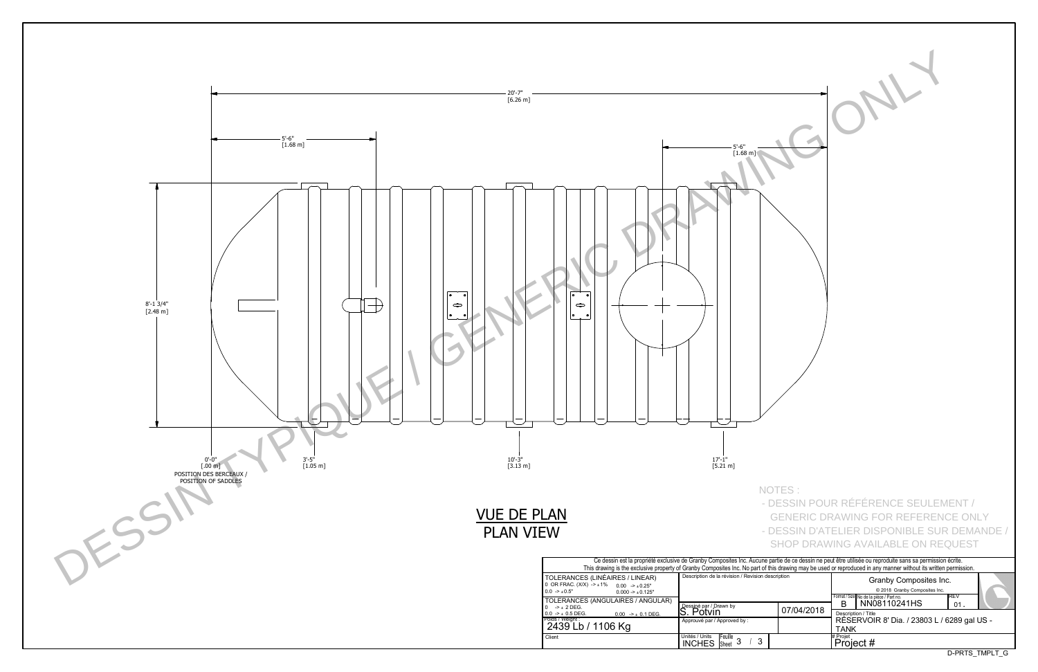

| $\bullet$<br>$\cdot$                                                                             | 5'-6"<br>[1.68 m]                                              |            |                                                                                                                                                                                                                                                                                                                                                                          |
|--------------------------------------------------------------------------------------------------|----------------------------------------------------------------|------------|--------------------------------------------------------------------------------------------------------------------------------------------------------------------------------------------------------------------------------------------------------------------------------------------------------------------------------------------------------------------------|
|                                                                                                  | $17 - 1"$<br>$[5.21 \, m]$                                     | NOTES:     | - DESSIN POUR RÉFÉRENCE SEULEMENT /<br><b>GENERIC DRAWING FOR REFERENCE ONLY</b><br>- DESSIN D'ATELIER DISPONIBLE SUR DEMANDE /                                                                                                                                                                                                                                          |
|                                                                                                  | Description de la révision / Revision description              |            | <b>SHOP DRAWING AVAILABLE ON REQUEST</b><br>Ce dessin est la propriété exclusive de Granby Composites Inc. Aucune partie de ce dessin ne peut être utilisée ou reproduite sans sa permission écrite.<br>This drawing is the exclusive property of Granby Composites Inc. No part of this drawing may be used or reproduced in any manner without its written permission. |
| S (LINÉAIRES / LINEAR)<br>$X) - 1\%$<br>$0.00$ -> $\pm 0.25$ "<br>$0.000 \rightarrow \pm 0.125"$ |                                                                |            | Granby Composites Inc.<br>© 2018 Granby Composites Inc.<br>REV                                                                                                                                                                                                                                                                                                           |
| S (ANGULAIRES / ANGULAR)                                                                         | Dessiné par / Drawn by<br>S. Potvin                            | 07/04/2018 | Format / Size No de la pièce / Part no.<br>NN08110241HS<br>B<br>01.<br>Description / Title                                                                                                                                                                                                                                                                               |
| $0.00$ -> $\pm$ 0.1 DEG.<br>/ 1106 Kg                                                            | Approuvé par / Approved by :                                   |            | RÉSERVOIR 8' Dia. / 23803 L / 6289 gal US -<br><b>TANK</b>                                                                                                                                                                                                                                                                                                               |
|                                                                                                  | Unités / Units<br>Feuille 3<br>$\mathfrak{S}$<br><b>INCHES</b> |            | # Projet<br>Project #                                                                                                                                                                                                                                                                                                                                                    |
|                                                                                                  |                                                                |            | D-PRTS_TMPLT_G                                                                                                                                                                                                                                                                                                                                                           |